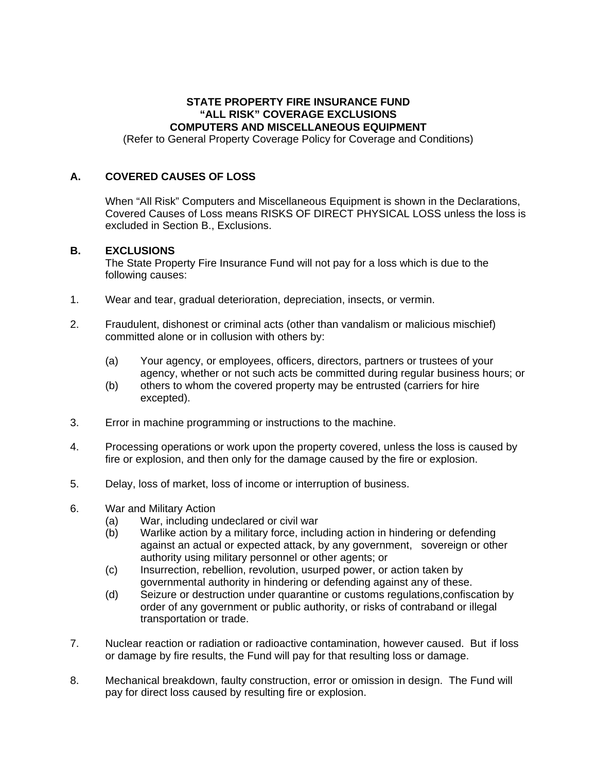## **STATE PROPERTY FIRE INSURANCE FUND "ALL RISK" COVERAGE EXCLUSIONS COMPUTERS AND MISCELLANEOUS EQUIPMENT**

(Refer to General Property Coverage Policy for Coverage and Conditions)

## **A. COVERED CAUSES OF LOSS**

When "All Risk" Computers and Miscellaneous Equipment is shown in the Declarations, Covered Causes of Loss means RISKS OF DIRECT PHYSICAL LOSS unless the loss is excluded in Section B., Exclusions.

## **B. EXCLUSIONS**

The State Property Fire Insurance Fund will not pay for a loss which is due to the following causes:

- 1. Wear and tear, gradual deterioration, depreciation, insects, or vermin.
- 2. Fraudulent, dishonest or criminal acts (other than vandalism or malicious mischief) committed alone or in collusion with others by:
	- (a) Your agency, or employees, officers, directors, partners or trustees of your agency, whether or not such acts be committed during regular business hours; or
	- (b) others to whom the covered property may be entrusted (carriers for hire excepted).
- 3. Error in machine programming or instructions to the machine.
- 4. Processing operations or work upon the property covered, unless the loss is caused by fire or explosion, and then only for the damage caused by the fire or explosion.
- 5. Delay, loss of market, loss of income or interruption of business.
- 6. War and Military Action
	- (a) War, including undeclared or civil war
	- (b) Warlike action by a military force, including action in hindering or defending against an actual or expected attack, by any government, sovereign or other authority using military personnel or other agents; or
	- (c) Insurrection, rebellion, revolution, usurped power, or action taken by governmental authority in hindering or defending against any of these.
	- (d) Seizure or destruction under quarantine or customs regulations,confiscation by order of any government or public authority, or risks of contraband or illegal transportation or trade.
- 7. Nuclear reaction or radiation or radioactive contamination, however caused. But if loss or damage by fire results, the Fund will pay for that resulting loss or damage.
- 8. Mechanical breakdown, faulty construction, error or omission in design. The Fund will pay for direct loss caused by resulting fire or explosion.